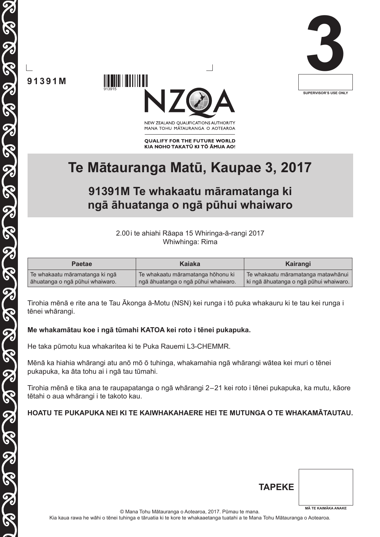



NEW ZEALAND OUALIFICATIONS AUTHORITY MANA TOHU MĀTAURANGA O AOTEAROA

**QUALIFY FOR THE FUTURE WORLD** KIA NOHO TAKATŪ KI TŌ ĀMUA AO!

## **Te Mātauranga Matū, Kaupae 3, 2017**

## **91391M Te whakaatu māramatanga ki ngā āhuatanga o ngā pūhui whaiwaro**

2.00i te ahiahi Rāapa 15 Whiringa-ā-rangi 2017 Whiwhinga: Rima

| <b>Paetae</b>                   | Kaiaka                              | Kairangi                               |
|---------------------------------|-------------------------------------|----------------------------------------|
| Te whakaatu māramatanga ki ngā  | Te whakaatu māramatanga hōhonu ki   | Te whakaatu māramatanga matawhānui     |
| āhuatanga o ngā pūhui whaiwaro. | ngā āhuatanga o ngā pūhui whaiwaro. | ki ngā āhuatanga o ngā pūhui whaiwaro. |

Tirohia mēnā e rite ana te Tau Ākonga ā-Motu (NSN) kei runga i tō puka whakauru ki te tau kei runga i tēnei whārangi.

### **Me whakamātau koe i ngā tūmahi KATOA kei roto i tēnei pukapuka.**

He taka pūmotu kua whakaritea ki te Puka Rauemi L3-CHEMMR.

Mēnā ka hiahia whārangi atu anō mō ō tuhinga, whakamahia ngā whārangi wātea kei muri o tēnei pukapuka, ka āta tohu ai i ngā tau tūmahi.

Tirohia mēnā e tika ana te raupapatanga o ngā whārangi 2–21 kei roto i tēnei pukapuka, ka mutu, kāore tētahi o aua whārangi i te takoto kau.

### **HOATU TE PUKAPUKA NEI KI TE KAIWHAKAHAERE HEI TE MUTUNGA O TE WHAKAMĀTAUTAU.**

| <b>TAPEKE</b> |                            |
|---------------|----------------------------|
|               | <b>MÄ TE KAIMÄKA ANAKE</b> |

© Mana Tohu Mātauranga o Aotearoa, 2017. Pūmau te mana. Kia kaua rawa he wāhi o tēnei tuhinga e tāruatia ki te kore te whakaaetanga tuatahi a te Mana Tohu Mātauranga o Aotearoa.

**91391M**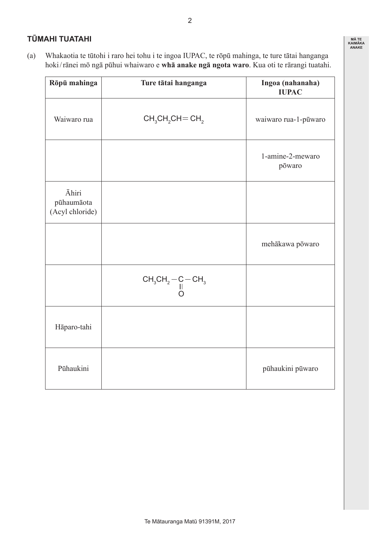### **TŪMAHI TUATAHI**

(a) Whakaotia te tūtohi i raro hei tohu i te ingoa IUPAC, te rōpū mahinga, te ture tātai hanganga hoki/rānei mō ngā pūhui whaiwaro e **whā anake ngā ngota waro**. Kua oti te rārangi tuatahi.

| Rōpū mahinga                                  | Ture tātai hanganga | Ingoa (nahanaha)<br><b>IUPAC</b> |
|-----------------------------------------------|---------------------|----------------------------------|
| Waiwaro rua                                   | $CH3CH2CH = CH2$    | waiwaro rua-1-pūwaro             |
|                                               |                     | 1-amine-2-mewaro<br>pōwaro       |
| <b>Āhiri</b><br>pūhaumāota<br>(Acyl chloride) |                     |                                  |
|                                               |                     | mehākawa pōwaro                  |
|                                               | $CH_3CH_2-C-CH_3$   |                                  |
| Hāparo-tahi                                   |                     |                                  |
| Pūhaukini                                     |                     | pūhaukini pūwaro                 |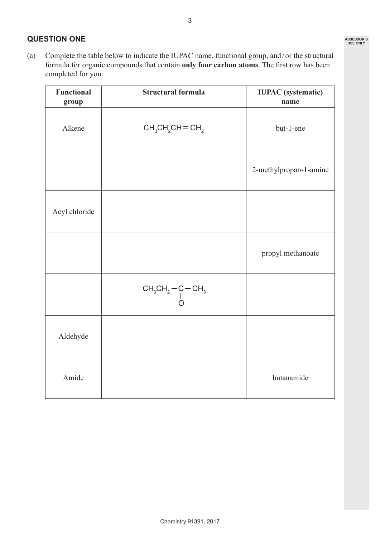### **QUESTION ONE**

(a) Complete the table below to indicate the IUPAC name, functional group, and/ or the structural formula for organic compounds that contain **only four carbon atoms**. The first row has been completed for you.

| <b>Functional</b><br>group | <b>Structural formula</b>                                                                                  | <b>IUPAC</b> (systematic)<br>name |
|----------------------------|------------------------------------------------------------------------------------------------------------|-----------------------------------|
| Alkene                     | $CH3CH2CH = CH2$                                                                                           | but-1-ene                         |
|                            |                                                                                                            | 2-methylpropan-1-amine            |
| Acyl chloride              |                                                                                                            |                                   |
|                            |                                                                                                            | propyl methanoate                 |
|                            | $\begin{array}{c} \text{CH}_3\text{CH}_2\!-\!\text{C}\!-\!\text{CH}_3 \\ \text{I} \\ \text{O} \end{array}$ |                                   |
| Aldehyde                   |                                                                                                            |                                   |
| Amide                      |                                                                                                            | butanamide                        |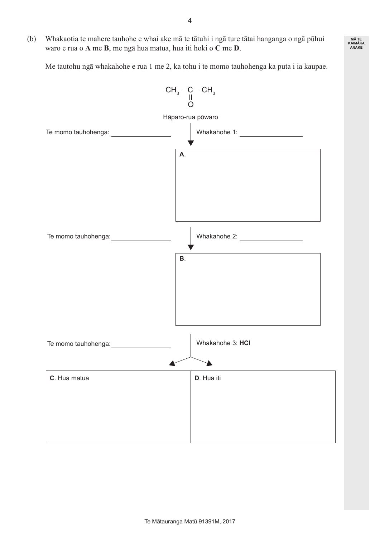(b) Whakaotia te mahere tauhohe e whai ake mā te tātuhi i ngā ture tātai hanganga o ngā pūhui waro e rua o **A** me **B**, me ngā hua matua, hua iti hoki o **C** me **D**.

 Me tautohu ngā whakahohe e rua 1 me 2, ka tohu i te momo tauhohenga ka puta i ia kaupae.

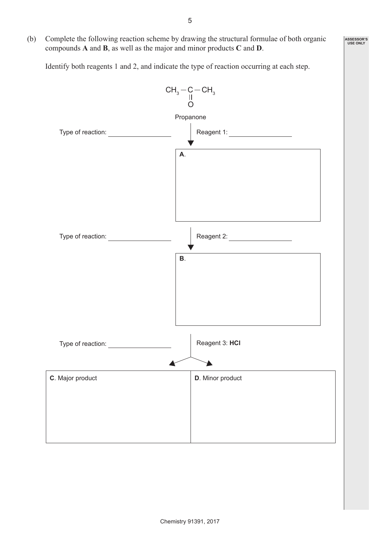(b) Complete the following reaction scheme by drawing the structural formulae of both organic compounds **A** and **B**, as well as the major and minor products **C** and **D**.

 Identify both reagents 1 and 2, and indicate the type of reaction occurring at each step.

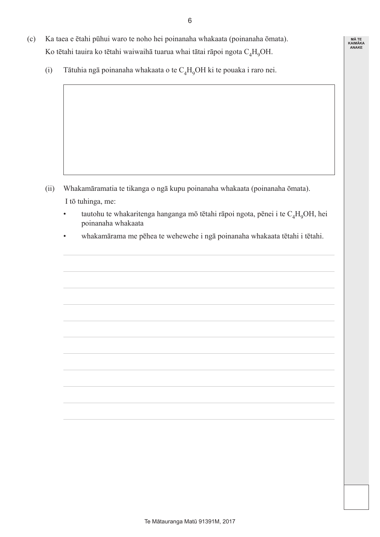6

- (c) Ka taea e ētahi pūhui waro te noho hei poinanaha whakaata (poinanaha ōmata). Ko tētahi tauira ko tētahi waiwaihā tuarua whai tātai rāpoi ngota  $C_A H_oOH$ .
	- (i) Tātuhia ngā poinanaha whakaata o te  $C_4H_9OH$  ki te pouaka i raro nei.

- (ii) Whakamāramatia te tikanga o ngā kupu poinanaha whakaata (poinanaha ōmata). I tō tuhinga, me:
	- tautohu te whakaritenga hanganga mō tētahi rāpoi ngota, pēnei i te  $C_4H_9OH$ , hei poinanaha whakaata
	- whakamārama me pēhea te wehewehe i ngā poinanaha whakaata tētahi i tētahi.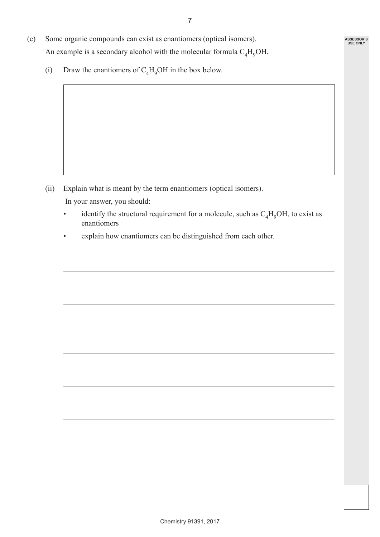- (c) Some organic compounds can exist as enantiomers (optical isomers). An example is a secondary alcohol with the molecular formula  $C_A H_0OH$ .
	- (i) Draw the enantiomers of  $C_4H_9OH$  in the box below.

- (ii) Explain what is meant by the term enantiomers (optical isomers). In your answer, you should:
	- identify the structural requirement for a molecule, such as  $C_4H_9OH$ , to exist as enantiomers
	- explain how enantiomers can be distinguished from each other.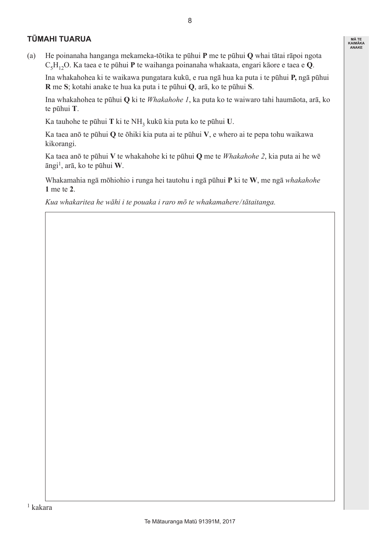### **TŪMAHI TUARUA**

(a) He poinanaha hanganga mekameka-tōtika te pūhui **P** me te pūhui **Q** whai tātai rāpoi ngota C5H12O. Ka taea e te pūhui **P** te waihanga poinanaha whakaata, engari kāore e taea e **Q**.

 Ina whakahohea ki te waikawa pungatara kukū, e rua ngā hua ka puta i te pūhui **P,** ngā pūhui **R** me **S**; kotahi anake te hua ka puta i te pūhui **Q**, arā, ko te pūhui **S**.

 Ina whakahohea te pūhui **Q** ki te *Whakahohe 1*, ka puta ko te waiwaro tahi haumāota, arā, ko te pūhui **T**.

 Ka tauhohe te pūhui **T** ki te NH3 kukū kia puta ko te pūhui **U**.

 Ka taea anō te pūhui **Q** te ōhiki kia puta ai te pūhui **V**, e whero ai te pepa tohu waikawa kikorangi.

 Ka taea anō te pūhui **V** te whakahohe ki te pūhui **Q** me te *Whakahohe 2*, kia puta ai he wē āngi1, arā, ko te pūhui **W**.

 Whakamahia ngā mōhiohio i runga hei tautohu i ngā pūhui **P** ki te **W**, me ngā *whakahohe* **1** me te **2**.

 *Kua whakaritea he wāhi i te pouaka i raro mō te whakamahere/tātaitanga.*

8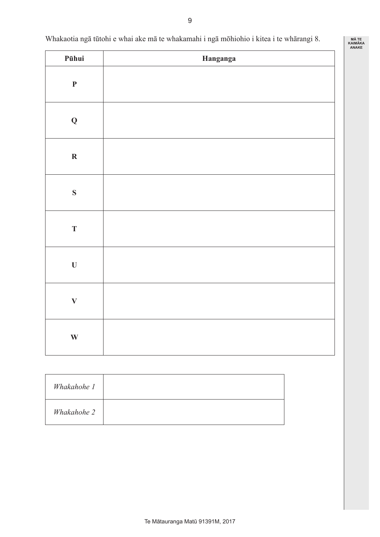### Whakaotia ngā tūtohi e whai ake mā te whakamahi i ngā mōhiohio i kitea i te whārangi 8.

| Pūhui        | Hanganga |
|--------------|----------|
| $\mathbf P$  |          |
| $\mathbf Q$  |          |
| $\mathbf R$  |          |
| $\mathbf S$  |          |
| $\mathbf T$  |          |
| $\mathbf U$  |          |
| $\mathbf{V}$ |          |
| $\mathbf{W}$ |          |

| Whakahohe 1 |  |
|-------------|--|
| Whakahohe 2 |  |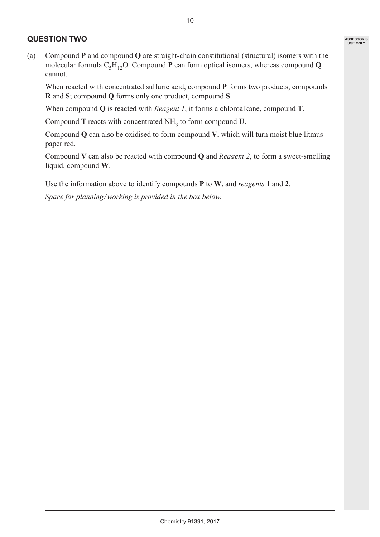### **QUESTION TWO**

When reacted with concentrated sulfuric acid, compound **P** forms two products, compounds **R** and **S**; compound **Q** forms only one product, compound **S**.

 When compound **Q** is reacted with *Reagent 1*, it forms a chloroalkane, compound **T**.

 Compound **T** reacts with concentrated NH<sup>3</sup> to form compound **U**.

 Compound **Q** can also be oxidised to form compound **V**, which will turn moist blue litmus paper red.

 Compound **V** can also be reacted with compound **Q** and *Reagent 2*, to form a sweet-smelling liquid, compound **W**.

 Use the information above to identify compounds **P** to **W**, and *reagents* **1** and **2**.

 *Space for planning/working is provided in the box below.*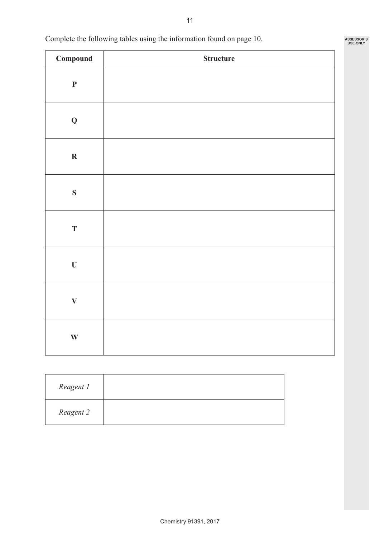| Compound                  | <b>Structure</b> |
|---------------------------|------------------|
| $\mathbf P$               |                  |
| $\mathbf Q$               |                  |
| $\boldsymbol{\mathrm{R}}$ |                  |
| ${\bf S}$                 |                  |
| $\mathbf T$               |                  |
| $\mathbf U$               |                  |
| $\mathbf{V}$              |                  |
| $\mathbf{W}$              |                  |

 Complete the following tables using the information found on page 10.

 $\overline{1}$ 

 $\overline{\Gamma}$ 

| Reagent 1 |  |
|-----------|--|
| Reagent 2 |  |

11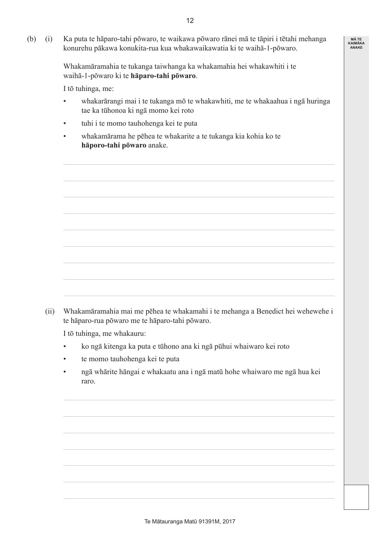**MĀ TE KAIMĀKA ANAKE**

(b) (i) Ka puta te hāparo-tahi pōwaro, te waikawa pōwaro rānei mā te tāpiri i tētahi mehanga konurehu pākawa konukita-rua kua whakawaikawatia ki te waihā-1-pōwaro.

> Whakamāramahia te tukanga taiwhanga ka whakamahia hei whakawhiti i te waihā-1-pōwaro ki te **hāparo-tahi pōwaro**.

 I tō tuhinga, me:

- • whakarārangi mai i te tukanga mō te whakawhiti, me te whakaahua i ngā huringa tae ka tūhonoa ki ngā momo kei roto
- tuhi i te momo tauhohenga kei te puta
- whakamārama he pēhea te whakarite a te tukanga kia kohia ko te **hāporo-tahi pōwaro** anake.

 (ii) Whakamāramahia mai me pēhea te whakamahi i te mehanga a Benedict hei wehewehe i te hāparo-rua pōwaro me te hāparo-tahi pōwaro.

 I tō tuhinga, me whakauru:

- • ko ngā kitenga ka puta e tūhono ana ki ngā pūhui whaiwaro kei roto
- • te momo tauhohenga kei te puta
- • ngā whārite hāngai e whakaatu ana i ngā matū hohe whaiwaro me ngā hua kei raro.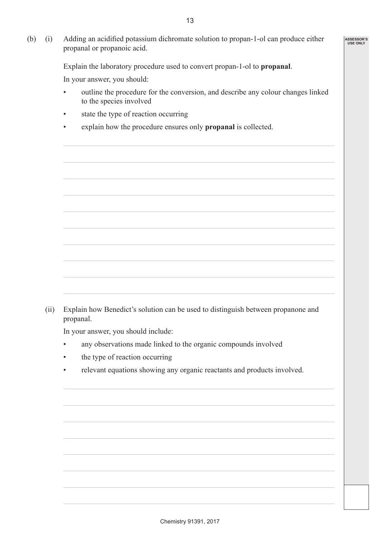(b) (i) Adding an acidified potassium dichromate solution to propan-1-ol can produce either propanal or propanoic acid.

 Explain the laboratory procedure used to convert propan-1-ol to **propanal**.

 In your answer, you should:

- • outline the procedure for the conversion, and describe any colour changes linked to the species involved
- state the type of reaction occurring
- explain how the procedure ensures only **propanal** is collected.

 (ii) Explain how Benedict's solution can be used to distinguish between propanone and propanal.

 In your answer, you should include:

- any observations made linked to the organic compounds involved
- the type of reaction occurring
- relevant equations showing any organic reactants and products involved.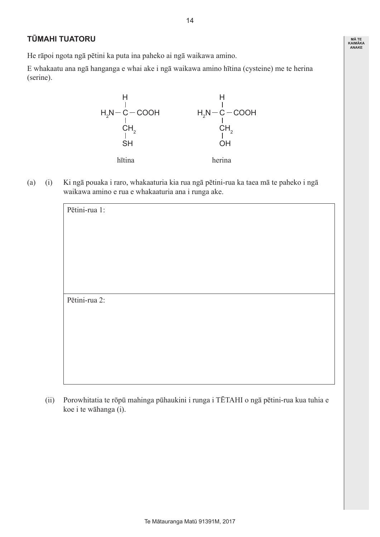### **MĀ TE KAIMĀKA ANAKE**

### **TŪMAHI TUATORU**

He rāpoi ngota ngā pētini ka puta ina paheko ai ngā waikawa amino.

E whakaatu ana ngā hanganga e whai ake i ngā waikawa amino hītina (cysteine) me te herina (serine).



(a) (i) Ki ngā pouaka i raro, whakaaturia kia rua ngā pētini-rua ka taea mā te paheko i ngā waikawa amino e rua e whakaaturia ana i runga ake.

| Pētini-rua 1: |  |
|---------------|--|
|               |  |
|               |  |
|               |  |
|               |  |
|               |  |
| Pētini-rua 2: |  |
|               |  |
|               |  |
|               |  |
|               |  |
|               |  |

(ii) Porowhitatia te rōpū mahinga pūhaukini i runga i TĒTAHI o ngā pētini-rua kua tuhia e koe i te wāhanga (i).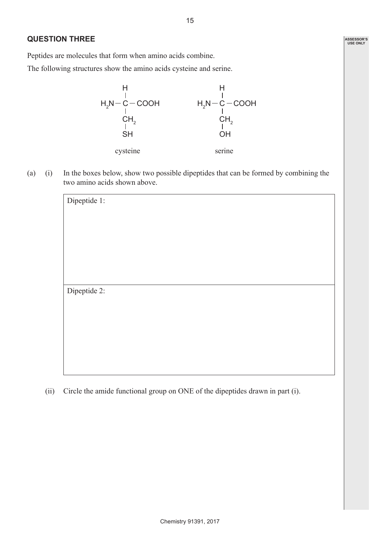### **QUESTION THREE**

Peptides are molecules that form when amino acids combine.

The following structures show the amino acids cysteine and serine.



(a) (i) In the boxes below, show two possible dipeptides that can be formed by combining the two amino acids shown above.

| Dipeptide 1: |  |  |  |
|--------------|--|--|--|
|              |  |  |  |
|              |  |  |  |
|              |  |  |  |
|              |  |  |  |
|              |  |  |  |
|              |  |  |  |
|              |  |  |  |
|              |  |  |  |
| Dipeptide 2: |  |  |  |
|              |  |  |  |
|              |  |  |  |
|              |  |  |  |
|              |  |  |  |
|              |  |  |  |
|              |  |  |  |
|              |  |  |  |
|              |  |  |  |

 (ii) Circle the amide functional group on ONE of the dipeptides drawn in part (i).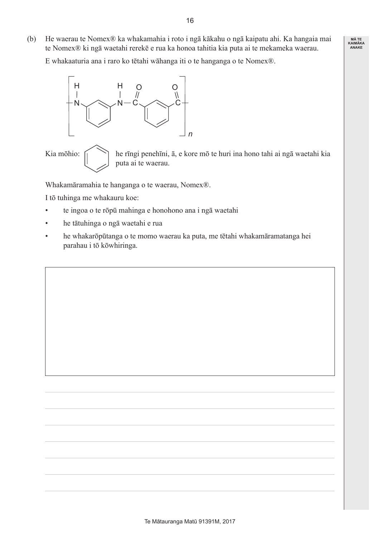(b) He waerau te Nomex® ka whakamahia i roto i ngā kākahu o ngā kaipatu ahi. Ka hangaia mai te Nomex® ki ngā waetahi rerekē e rua ka honoa tahitia kia puta ai te mekameka waerau.

 E whakaaturia ana i raro ko tētahi wāhanga iti o te hanganga o te Nomex®.



Kia mōhio:  $\bigcap$  he rīngi penehīni, ā, e kore mō te huri ina hono tahi ai ngā waetahi kia puta ai te waerau.

Whakamāramahia te hanganga o te waerau, Nomex®.

 I tō tuhinga me whakauru koe:

- te ingoa o te rōpū mahinga e honohono ana i ngā waetahi
- • he tātuhinga o ngā waetahi e rua
- • he whakarōpūtanga o te momo waerau ka puta, me tētahi whakamāramatanga hei parahau i tō kōwhiringa.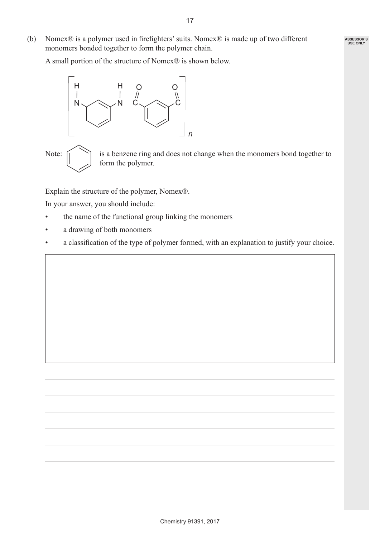(b) Nomex® is a polymer used in firefighters'suits. Nomex® is made up of two different monomers bonded together to form the polymer chain.

 A small portion of the structure of Nomex® is shown below.



Note:  $\bigcap$  is a benzene ring and does not change when the monomers bond together to form the polymer.

Explain the structure of the polymer, Nomex®.

 In your answer, you should include:

- the name of the functional group linking the monomers
- • a drawing of both monomers
- • a classification of the type of polymer formed, with an explanation to justify your choice.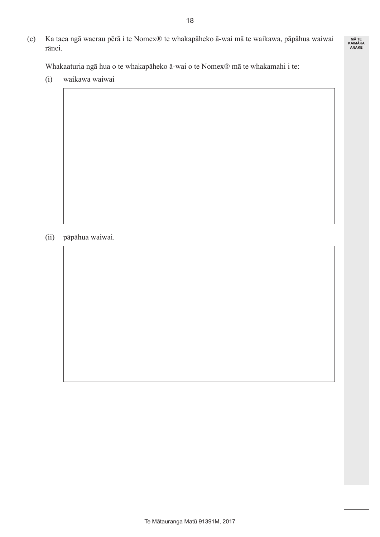(c) Ka taea ngā waerau pērā i te Nomex® te whakapāheko ā-wai mā te waikawa, pāpāhua waiwai rānei.

 Whakaaturia ngā hua o te whakapāheko ā-wai o te Nomex® mā te whakamahi i te:

 (i) waikawa waiwai

 (ii) pāpāhua waiwai.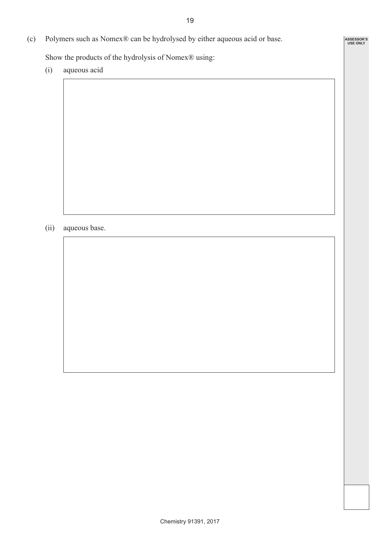**ASSESSOR'S USE ONLY**

(c) Polymers such as Nomex® can be hydrolysed by either aqueous acid or base.

 Show the products of the hydrolysis of Nomex® using:

 (i) aqueous acid

(ii) aqueous base.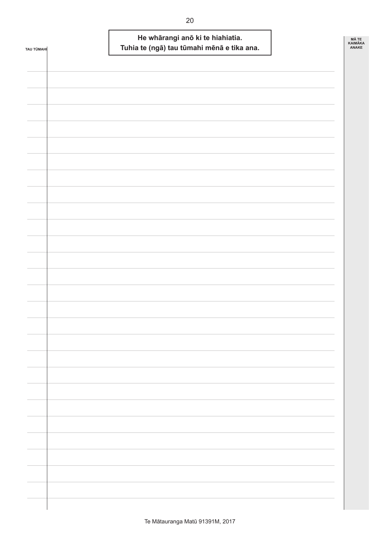| <b>TAU TÜMAHI</b> | He whārangi anō ki te hiahiatia.<br>Tuhia te (ngā) tau tūmahi mēnā e tika ana. | MÃ TE<br>KAIMĀKA<br>ANAKE |
|-------------------|--------------------------------------------------------------------------------|---------------------------|
|                   |                                                                                |                           |
|                   |                                                                                |                           |
|                   |                                                                                |                           |
|                   |                                                                                |                           |
|                   |                                                                                |                           |
|                   |                                                                                |                           |
|                   |                                                                                |                           |
|                   |                                                                                |                           |
|                   |                                                                                |                           |
|                   |                                                                                |                           |
|                   |                                                                                |                           |
|                   |                                                                                |                           |
|                   |                                                                                |                           |
|                   |                                                                                |                           |
|                   |                                                                                |                           |
|                   |                                                                                |                           |
|                   |                                                                                |                           |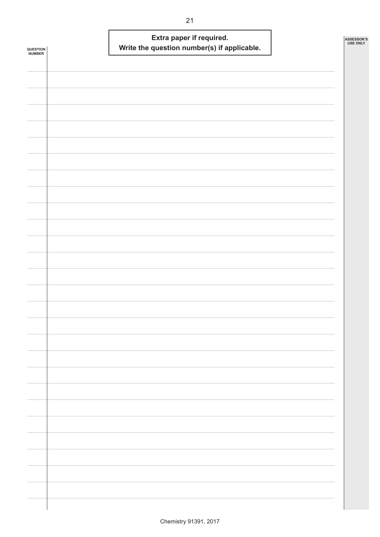|                            | Extra paper if required.                    | ASSESSOR'S<br><b>USE ONLY</b> |
|----------------------------|---------------------------------------------|-------------------------------|
| <b>QUESTION<br/>NUMBER</b> | Write the question number(s) if applicable. |                               |
|                            |                                             |                               |
|                            |                                             |                               |
|                            |                                             |                               |
|                            |                                             |                               |
|                            |                                             |                               |
|                            |                                             |                               |
|                            |                                             |                               |
|                            |                                             |                               |
|                            |                                             |                               |
|                            |                                             |                               |
|                            |                                             |                               |
|                            |                                             |                               |
|                            |                                             |                               |
|                            |                                             |                               |
|                            |                                             |                               |
|                            |                                             |                               |
|                            |                                             |                               |
|                            |                                             |                               |
|                            |                                             |                               |
|                            |                                             |                               |
|                            |                                             |                               |
|                            |                                             |                               |
|                            |                                             |                               |
|                            |                                             |                               |
|                            |                                             |                               |
|                            |                                             |                               |